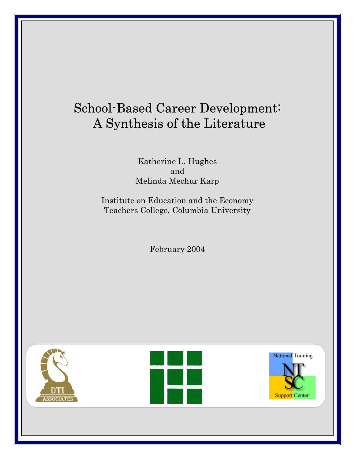# School-Based Career Development: A Synthesis of the Literature

Katherine L. Hughes and Melinda Mechur Karp

Institute on Education and the Economy Teachers College, Columbia University

February 2004

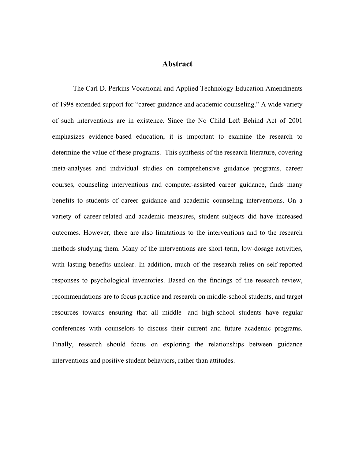# **Abstract**

The Carl D. Perkins Vocational and Applied Technology Education Amendments of 1998 extended support for "career guidance and academic counseling." A wide variety of such interventions are in existence. Since the No Child Left Behind Act of 2001 emphasizes evidence-based education, it is important to examine the research to determine the value of these programs. This synthesis of the research literature, covering meta-analyses and individual studies on comprehensive guidance programs, career courses, counseling interventions and computer-assisted career guidance, finds many benefits to students of career guidance and academic counseling interventions. On a variety of career-related and academic measures, student subjects did have increased outcomes. However, there are also limitations to the interventions and to the research methods studying them. Many of the interventions are short-term, low-dosage activities, with lasting benefits unclear. In addition, much of the research relies on self-reported responses to psychological inventories. Based on the findings of the research review, recommendations are to focus practice and research on middle-school students, and target resources towards ensuring that all middle- and high-school students have regular conferences with counselors to discuss their current and future academic programs. Finally, research should focus on exploring the relationships between guidance interventions and positive student behaviors, rather than attitudes.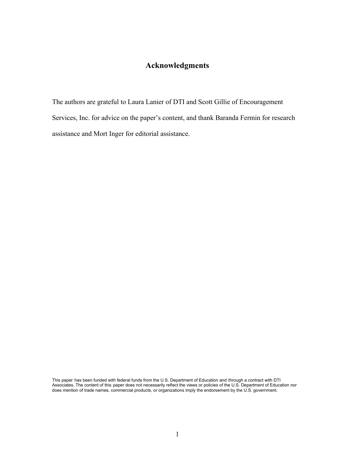# **Acknowledgments**

The authors are grateful to Laura Lanier of DTI and Scott Gillie of Encouragement Services, Inc. for advice on the paper's content, and thank Baranda Fermin for research assistance and Mort Inger for editorial assistance.

This paper has been funded with federal funds from the U.S. Department of Education and through a contract with DTI Associates. The content of this paper does not necessarily reflect the views or policies of the U.S. Department of Education nor does mention of trade names, commercial products, or organizations imply the endorsement by the U.S. government.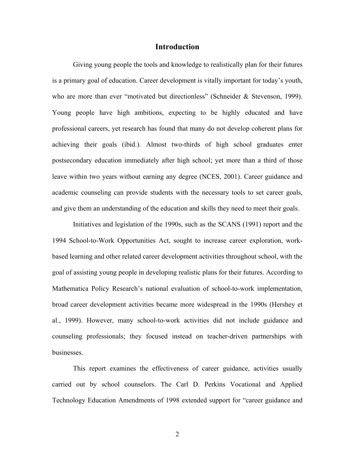## **Introduction**

Giving young people the tools and knowledge to realistically plan for their futures is a primary goal of education. Career development is vitally important for today's youth, who are more than ever "motivated but directionless" (Schneider & Stevenson, 1999). Young people have high ambitions, expecting to be highly educated and have professional careers, yet research has found that many do not develop coherent plans for achieving their goals (ibid.). Almost two-thirds of high school graduates enter postsecondary education immediately after high school; yet more than a third of those leave within two years without earning any degree (NCES, 2001). Career guidance and academic counseling can provide students with the necessary tools to set career goals, and give them an understanding of the education and skills they need to meet their goals.

Initiatives and legislation of the 1990s, such as the SCANS (1991) report and the 1994 School-to-Work Opportunities Act, sought to increase career exploration, workbased learning and other related career development activities throughout school, with the goal of assisting young people in developing realistic plans for their futures. According to Mathematica Policy Research's national evaluation of school-to-work implementation, broad career development activities became more widespread in the 1990s (Hershey et al., 1999). However, many school-to-work activities did not include guidance and counseling professionals; they focused instead on teacher-driven partnerships with businesses.

This report examines the effectiveness of career guidance, activities usually carried out by school counselors. The Carl D. Perkins Vocational and Applied Technology Education Amendments of 1998 extended support for "career guidance and

2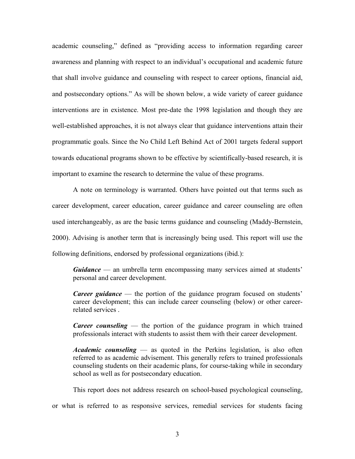academic counseling," defined as "providing access to information regarding career awareness and planning with respect to an individual's occupational and academic future that shall involve guidance and counseling with respect to career options, financial aid, and postsecondary options." As will be shown below, a wide variety of career guidance interventions are in existence. Most pre-date the 1998 legislation and though they are well-established approaches, it is not always clear that guidance interventions attain their programmatic goals. Since the No Child Left Behind Act of 2001 targets federal support towards educational programs shown to be effective by scientifically-based research, it is important to examine the research to determine the value of these programs.

A note on terminology is warranted. Others have pointed out that terms such as career development, career education, career guidance and career counseling are often used interchangeably, as are the basic terms guidance and counseling (Maddy-Bernstein, 2000). Advising is another term that is increasingly being used. This report will use the following definitions, endorsed by professional organizations (ibid.):

*Guidance* — an umbrella term encompassing many services aimed at students' personal and career development.

*Career guidance* — the portion of the guidance program focused on students' career development; this can include career counseling (below) or other careerrelated services .

*Career counseling* — the portion of the guidance program in which trained professionals interact with students to assist them with their career development.

*Academic counseling* — as quoted in the Perkins legislation, is also often referred to as academic advisement. This generally refers to trained professionals counseling students on their academic plans, for course-taking while in secondary school as well as for postsecondary education.

This report does not address research on school-based psychological counseling,

or what is referred to as responsive services, remedial services for students facing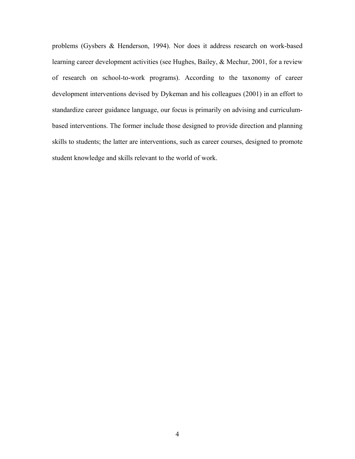problems (Gysbers & Henderson, 1994). Nor does it address research on work-based learning career development activities (see Hughes, Bailey, & Mechur, 2001, for a review of research on school-to-work programs). According to the taxonomy of career development interventions devised by Dykeman and his colleagues (2001) in an effort to standardize career guidance language, our focus is primarily on advising and curriculumbased interventions. The former include those designed to provide direction and planning skills to students; the latter are interventions, such as career courses, designed to promote student knowledge and skills relevant to the world of work.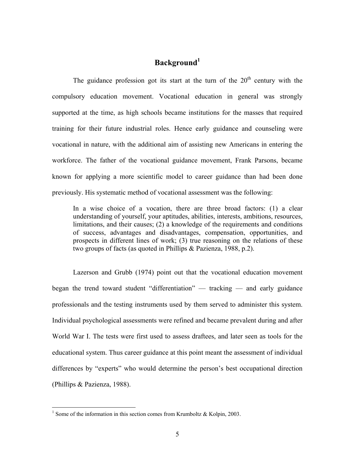# **Background<sup>1</sup>**

The guidance profession got its start at the turn of the  $20<sup>th</sup>$  century with the compulsory education movement. Vocational education in general was strongly supported at the time, as high schools became institutions for the masses that required training for their future industrial roles. Hence early guidance and counseling were vocational in nature, with the additional aim of assisting new Americans in entering the workforce. The father of the vocational guidance movement, Frank Parsons, became known for applying a more scientific model to career guidance than had been done previously. His systematic method of vocational assessment was the following:

In a wise choice of a vocation, there are three broad factors: (1) a clear understanding of yourself, your aptitudes, abilities, interests, ambitions, resources, limitations, and their causes; (2) a knowledge of the requirements and conditions of success, advantages and disadvantages, compensation, opportunities, and prospects in different lines of work; (3) true reasoning on the relations of these two groups of facts (as quoted in Phillips & Pazienza, 1988, p.2).

Lazerson and Grubb (1974) point out that the vocational education movement began the trend toward student "differentiation" — tracking — and early guidance professionals and the testing instruments used by them served to administer this system. Individual psychological assessments were refined and became prevalent during and after World War I. The tests were first used to assess draftees, and later seen as tools for the educational system. Thus career guidance at this point meant the assessment of individual differences by "experts" who would determine the person's best occupational direction (Phillips & Pazienza, 1988).

<u>.</u>

<sup>&</sup>lt;sup>1</sup> Some of the information in this section comes from Krumboltz & Kolpin, 2003.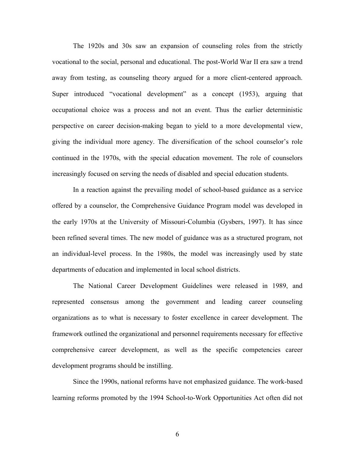The 1920s and 30s saw an expansion of counseling roles from the strictly vocational to the social, personal and educational. The post-World War II era saw a trend away from testing, as counseling theory argued for a more client-centered approach. Super introduced "vocational development" as a concept (1953), arguing that occupational choice was a process and not an event. Thus the earlier deterministic perspective on career decision-making began to yield to a more developmental view, giving the individual more agency. The diversification of the school counselor's role continued in the 1970s, with the special education movement. The role of counselors increasingly focused on serving the needs of disabled and special education students.

In a reaction against the prevailing model of school-based guidance as a service offered by a counselor, the Comprehensive Guidance Program model was developed in the early 1970s at the University of Missouri-Columbia (Gysbers, 1997). It has since been refined several times. The new model of guidance was as a structured program, not an individual-level process. In the 1980s, the model was increasingly used by state departments of education and implemented in local school districts.

The National Career Development Guidelines were released in 1989, and represented consensus among the government and leading career counseling organizations as to what is necessary to foster excellence in career development. The framework outlined the organizational and personnel requirements necessary for effective comprehensive career development, as well as the specific competencies career development programs should be instilling.

Since the 1990s, national reforms have not emphasized guidance. The work-based learning reforms promoted by the 1994 School-to-Work Opportunities Act often did not

6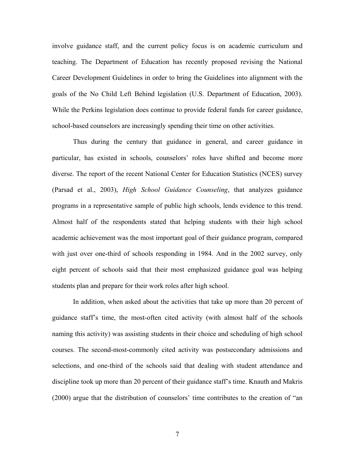involve guidance staff, and the current policy focus is on academic curriculum and teaching. The Department of Education has recently proposed revising the National Career Development Guidelines in order to bring the Guidelines into alignment with the goals of the No Child Left Behind legislation (U.S. Department of Education, 2003). While the Perkins legislation does continue to provide federal funds for career guidance, school-based counselors are increasingly spending their time on other activities.

Thus during the century that guidance in general, and career guidance in particular, has existed in schools, counselors' roles have shifted and become more diverse. The report of the recent National Center for Education Statistics (NCES) survey (Parsad et al., 2003), *High School Guidance Counseling*, that analyzes guidance programs in a representative sample of public high schools, lends evidence to this trend. Almost half of the respondents stated that helping students with their high school academic achievement was the most important goal of their guidance program, compared with just over one-third of schools responding in 1984. And in the 2002 survey, only eight percent of schools said that their most emphasized guidance goal was helping students plan and prepare for their work roles after high school.

In addition, when asked about the activities that take up more than 20 percent of guidance staff's time, the most-often cited activity (with almost half of the schools naming this activity) was assisting students in their choice and scheduling of high school courses. The second-most-commonly cited activity was postsecondary admissions and selections, and one-third of the schools said that dealing with student attendance and discipline took up more than 20 percent of their guidance staff's time. Knauth and Makris (2000) argue that the distribution of counselors' time contributes to the creation of "an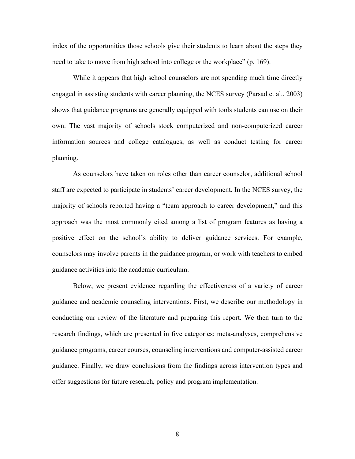index of the opportunities those schools give their students to learn about the steps they need to take to move from high school into college or the workplace" (p. 169).

While it appears that high school counselors are not spending much time directly engaged in assisting students with career planning, the NCES survey (Parsad et al., 2003) shows that guidance programs are generally equipped with tools students can use on their own. The vast majority of schools stock computerized and non-computerized career information sources and college catalogues, as well as conduct testing for career planning.

As counselors have taken on roles other than career counselor, additional school staff are expected to participate in students' career development. In the NCES survey, the majority of schools reported having a "team approach to career development," and this approach was the most commonly cited among a list of program features as having a positive effect on the school's ability to deliver guidance services. For example, counselors may involve parents in the guidance program, or work with teachers to embed guidance activities into the academic curriculum.

Below, we present evidence regarding the effectiveness of a variety of career guidance and academic counseling interventions. First, we describe our methodology in conducting our review of the literature and preparing this report. We then turn to the research findings, which are presented in five categories: meta-analyses, comprehensive guidance programs, career courses, counseling interventions and computer-assisted career guidance. Finally, we draw conclusions from the findings across intervention types and offer suggestions for future research, policy and program implementation.

8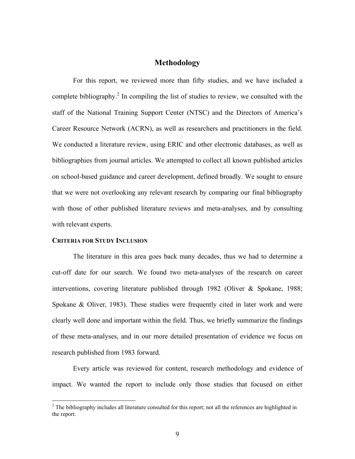# **Methodology**

For this report, we reviewed more than fifty studies, and we have included a complete bibliography.<sup>2</sup> In compiling the list of studies to review, we consulted with the staff of the National Training Support Center (NTSC) and the Directors of America's Career Resource Network (ACRN), as well as researchers and practitioners in the field. We conducted a literature review, using ERIC and other electronic databases, as well as bibliographies from journal articles. We attempted to collect all known published articles on school-based guidance and career development, defined broadly. We sought to ensure that we were not overlooking any relevant research by comparing our final bibliography with those of other published literature reviews and meta-analyses, and by consulting with relevant experts.

## **CRITERIA FOR STUDY INCLUSION**

 $\overline{a}$ 

The literature in this area goes back many decades, thus we had to determine a cut-off date for our search. We found two meta-analyses of the research on career interventions, covering literature published through 1982 (Oliver & Spokane, 1988; Spokane & Oliver, 1983). These studies were frequently cited in later work and were clearly well done and important within the field. Thus, we briefly summarize the findings of these meta-analyses, and in our more detailed presentation of evidence we focus on research published from 1983 forward.

Every article was reviewed for content, research methodology and evidence of impact. We wanted the report to include only those studies that focused on either

 $2^2$  The bibliography includes all literature consulted for this report; not all the references are highlighted in the report.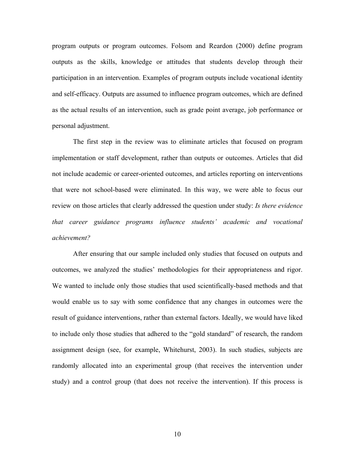program outputs or program outcomes. Folsom and Reardon (2000) define program outputs as the skills, knowledge or attitudes that students develop through their participation in an intervention. Examples of program outputs include vocational identity and self-efficacy. Outputs are assumed to influence program outcomes, which are defined as the actual results of an intervention, such as grade point average, job performance or personal adjustment.

The first step in the review was to eliminate articles that focused on program implementation or staff development, rather than outputs or outcomes. Articles that did not include academic or career-oriented outcomes, and articles reporting on interventions that were not school-based were eliminated. In this way, we were able to focus our review on those articles that clearly addressed the question under study: *Is there evidence that career guidance programs influence students' academic and vocational achievement?* 

After ensuring that our sample included only studies that focused on outputs and outcomes, we analyzed the studies' methodologies for their appropriateness and rigor. We wanted to include only those studies that used scientifically-based methods and that would enable us to say with some confidence that any changes in outcomes were the result of guidance interventions, rather than external factors. Ideally, we would have liked to include only those studies that adhered to the "gold standard" of research, the random assignment design (see, for example, Whitehurst, 2003). In such studies, subjects are randomly allocated into an experimental group (that receives the intervention under study) and a control group (that does not receive the intervention). If this process is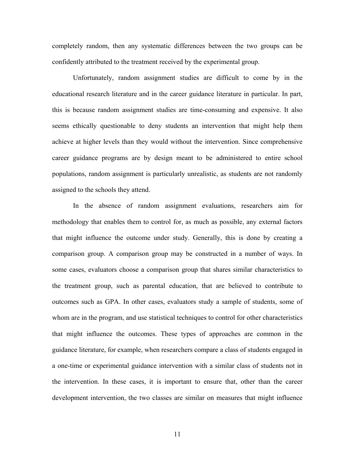completely random, then any systematic differences between the two groups can be confidently attributed to the treatment received by the experimental group.

Unfortunately, random assignment studies are difficult to come by in the educational research literature and in the career guidance literature in particular. In part, this is because random assignment studies are time-consuming and expensive. It also seems ethically questionable to deny students an intervention that might help them achieve at higher levels than they would without the intervention. Since comprehensive career guidance programs are by design meant to be administered to entire school populations, random assignment is particularly unrealistic, as students are not randomly assigned to the schools they attend.

In the absence of random assignment evaluations, researchers aim for methodology that enables them to control for, as much as possible, any external factors that might influence the outcome under study. Generally, this is done by creating a comparison group. A comparison group may be constructed in a number of ways. In some cases, evaluators choose a comparison group that shares similar characteristics to the treatment group, such as parental education, that are believed to contribute to outcomes such as GPA. In other cases, evaluators study a sample of students, some of whom are in the program, and use statistical techniques to control for other characteristics that might influence the outcomes. These types of approaches are common in the guidance literature, for example, when researchers compare a class of students engaged in a one-time or experimental guidance intervention with a similar class of students not in the intervention. In these cases, it is important to ensure that, other than the career development intervention, the two classes are similar on measures that might influence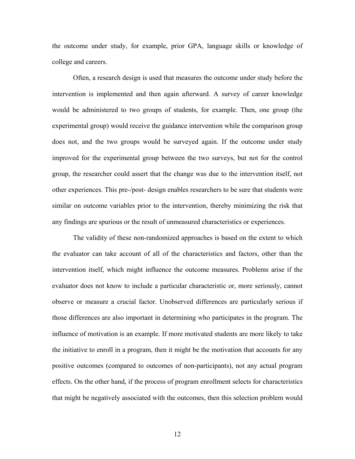the outcome under study, for example, prior GPA, language skills or knowledge of college and careers.

Often, a research design is used that measures the outcome under study before the intervention is implemented and then again afterward. A survey of career knowledge would be administered to two groups of students, for example. Then, one group (the experimental group) would receive the guidance intervention while the comparison group does not, and the two groups would be surveyed again. If the outcome under study improved for the experimental group between the two surveys, but not for the control group, the researcher could assert that the change was due to the intervention itself, not other experiences. This pre-/post- design enables researchers to be sure that students were similar on outcome variables prior to the intervention, thereby minimizing the risk that any findings are spurious or the result of unmeasured characteristics or experiences.

The validity of these non-randomized approaches is based on the extent to which the evaluator can take account of all of the characteristics and factors, other than the intervention itself, which might influence the outcome measures. Problems arise if the evaluator does not know to include a particular characteristic or, more seriously, cannot observe or measure a crucial factor. Unobserved differences are particularly serious if those differences are also important in determining who participates in the program. The influence of motivation is an example. If more motivated students are more likely to take the initiative to enroll in a program, then it might be the motivation that accounts for any positive outcomes (compared to outcomes of non-participants), not any actual program effects. On the other hand, if the process of program enrollment selects for characteristics that might be negatively associated with the outcomes, then this selection problem would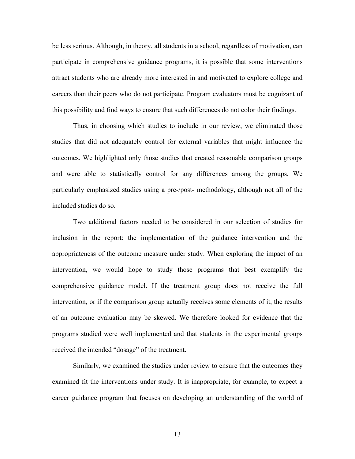be less serious. Although, in theory, all students in a school, regardless of motivation, can participate in comprehensive guidance programs, it is possible that some interventions attract students who are already more interested in and motivated to explore college and careers than their peers who do not participate. Program evaluators must be cognizant of this possibility and find ways to ensure that such differences do not color their findings.

Thus, in choosing which studies to include in our review, we eliminated those studies that did not adequately control for external variables that might influence the outcomes. We highlighted only those studies that created reasonable comparison groups and were able to statistically control for any differences among the groups. We particularly emphasized studies using a pre-/post- methodology, although not all of the included studies do so.

Two additional factors needed to be considered in our selection of studies for inclusion in the report: the implementation of the guidance intervention and the appropriateness of the outcome measure under study. When exploring the impact of an intervention, we would hope to study those programs that best exemplify the comprehensive guidance model. If the treatment group does not receive the full intervention, or if the comparison group actually receives some elements of it, the results of an outcome evaluation may be skewed. We therefore looked for evidence that the programs studied were well implemented and that students in the experimental groups received the intended "dosage" of the treatment.

Similarly, we examined the studies under review to ensure that the outcomes they examined fit the interventions under study. It is inappropriate, for example, to expect a career guidance program that focuses on developing an understanding of the world of

13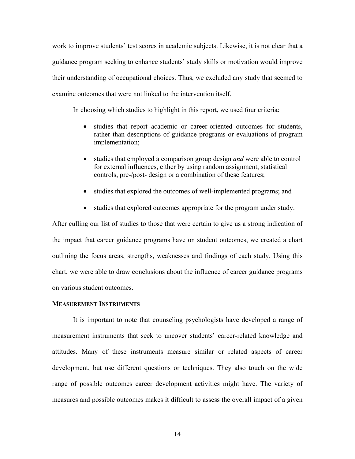work to improve students' test scores in academic subjects. Likewise, it is not clear that a guidance program seeking to enhance students' study skills or motivation would improve their understanding of occupational choices. Thus, we excluded any study that seemed to examine outcomes that were not linked to the intervention itself.

In choosing which studies to highlight in this report, we used four criteria:

- studies that report academic or career-oriented outcomes for students, rather than descriptions of guidance programs or evaluations of program implementation;
- studies that employed a comparison group design *and* were able to control for external influences, either by using random assignment, statistical controls, pre-/post- design or a combination of these features;
- studies that explored the outcomes of well-implemented programs; and
- studies that explored outcomes appropriate for the program under study.

After culling our list of studies to those that were certain to give us a strong indication of the impact that career guidance programs have on student outcomes, we created a chart outlining the focus areas, strengths, weaknesses and findings of each study. Using this chart, we were able to draw conclusions about the influence of career guidance programs on various student outcomes.

### **MEASUREMENT INSTRUMENTS**

It is important to note that counseling psychologists have developed a range of measurement instruments that seek to uncover students' career-related knowledge and attitudes. Many of these instruments measure similar or related aspects of career development, but use different questions or techniques. They also touch on the wide range of possible outcomes career development activities might have. The variety of measures and possible outcomes makes it difficult to assess the overall impact of a given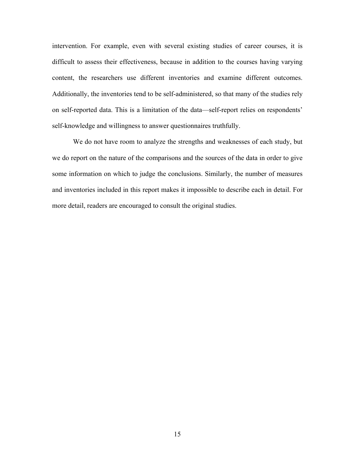intervention. For example, even with several existing studies of career courses, it is difficult to assess their effectiveness, because in addition to the courses having varying content, the researchers use different inventories and examine different outcomes. Additionally, the inventories tend to be self-administered, so that many of the studies rely on self-reported data. This is a limitation of the data—self-report relies on respondents' self-knowledge and willingness to answer questionnaires truthfully.

We do not have room to analyze the strengths and weaknesses of each study, but we do report on the nature of the comparisons and the sources of the data in order to give some information on which to judge the conclusions. Similarly, the number of measures and inventories included in this report makes it impossible to describe each in detail. For more detail, readers are encouraged to consult the original studies.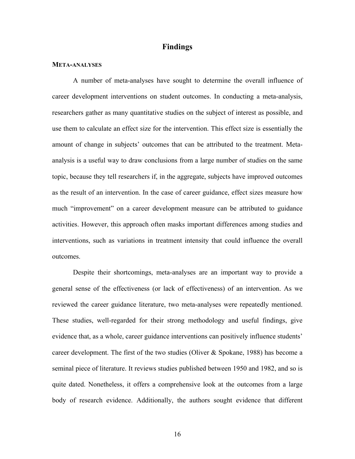# **Findings**

#### **META-ANALYSES**

A number of meta-analyses have sought to determine the overall influence of career development interventions on student outcomes. In conducting a meta-analysis, researchers gather as many quantitative studies on the subject of interest as possible, and use them to calculate an effect size for the intervention. This effect size is essentially the amount of change in subjects' outcomes that can be attributed to the treatment. Metaanalysis is a useful way to draw conclusions from a large number of studies on the same topic, because they tell researchers if, in the aggregate, subjects have improved outcomes as the result of an intervention. In the case of career guidance, effect sizes measure how much "improvement" on a career development measure can be attributed to guidance activities. However, this approach often masks important differences among studies and interventions, such as variations in treatment intensity that could influence the overall outcomes.

Despite their shortcomings, meta-analyses are an important way to provide a general sense of the effectiveness (or lack of effectiveness) of an intervention. As we reviewed the career guidance literature, two meta-analyses were repeatedly mentioned. These studies, well-regarded for their strong methodology and useful findings, give evidence that, as a whole, career guidance interventions can positively influence students' career development. The first of the two studies (Oliver  $&$  Spokane, 1988) has become a seminal piece of literature. It reviews studies published between 1950 and 1982, and so is quite dated. Nonetheless, it offers a comprehensive look at the outcomes from a large body of research evidence. Additionally, the authors sought evidence that different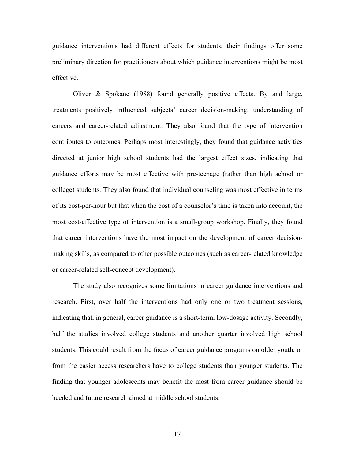guidance interventions had different effects for students; their findings offer some preliminary direction for practitioners about which guidance interventions might be most effective.

Oliver & Spokane (1988) found generally positive effects. By and large, treatments positively influenced subjects' career decision-making, understanding of careers and career-related adjustment. They also found that the type of intervention contributes to outcomes. Perhaps most interestingly, they found that guidance activities directed at junior high school students had the largest effect sizes, indicating that guidance efforts may be most effective with pre-teenage (rather than high school or college) students. They also found that individual counseling was most effective in terms of its cost-per-hour but that when the cost of a counselor's time is taken into account, the most cost-effective type of intervention is a small-group workshop. Finally, they found that career interventions have the most impact on the development of career decisionmaking skills, as compared to other possible outcomes (such as career-related knowledge or career-related self-concept development).

The study also recognizes some limitations in career guidance interventions and research. First, over half the interventions had only one or two treatment sessions, indicating that, in general, career guidance is a short-term, low-dosage activity. Secondly, half the studies involved college students and another quarter involved high school students. This could result from the focus of career guidance programs on older youth, or from the easier access researchers have to college students than younger students. The finding that younger adolescents may benefit the most from career guidance should be heeded and future research aimed at middle school students.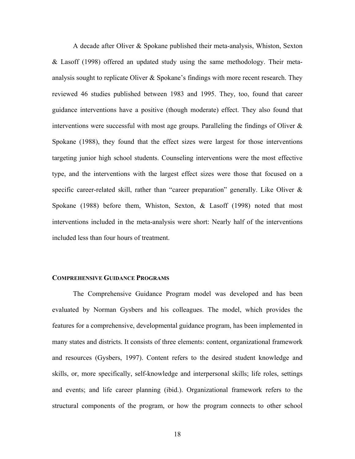A decade after Oliver & Spokane published their meta-analysis, Whiston, Sexton & Lasoff (1998) offered an updated study using the same methodology. Their metaanalysis sought to replicate Oliver  $\&$  Spokane's findings with more recent research. They reviewed 46 studies published between 1983 and 1995. They, too, found that career guidance interventions have a positive (though moderate) effect. They also found that interventions were successful with most age groups. Paralleling the findings of Oliver  $\&$ Spokane (1988), they found that the effect sizes were largest for those interventions targeting junior high school students. Counseling interventions were the most effective type, and the interventions with the largest effect sizes were those that focused on a specific career-related skill, rather than "career preparation" generally. Like Oliver & Spokane (1988) before them, Whiston, Sexton, & Lasoff (1998) noted that most interventions included in the meta-analysis were short: Nearly half of the interventions included less than four hours of treatment.

## **COMPREHENSIVE GUIDANCE PROGRAMS**

The Comprehensive Guidance Program model was developed and has been evaluated by Norman Gysbers and his colleagues. The model, which provides the features for a comprehensive, developmental guidance program, has been implemented in many states and districts. It consists of three elements: content, organizational framework and resources (Gysbers, 1997). Content refers to the desired student knowledge and skills, or, more specifically, self-knowledge and interpersonal skills; life roles, settings and events; and life career planning (ibid.). Organizational framework refers to the structural components of the program, or how the program connects to other school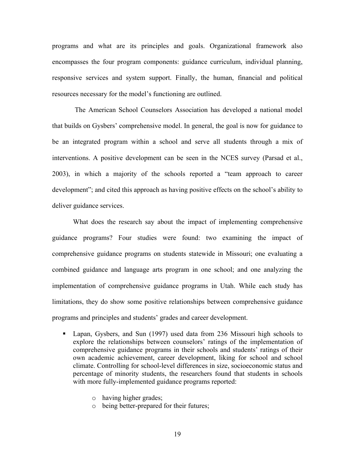programs and what are its principles and goals. Organizational framework also encompasses the four program components: guidance curriculum, individual planning, responsive services and system support. Finally, the human, financial and political resources necessary for the model's functioning are outlined.

 The American School Counselors Association has developed a national model that builds on Gysbers' comprehensive model. In general, the goal is now for guidance to be an integrated program within a school and serve all students through a mix of interventions. A positive development can be seen in the NCES survey (Parsad et al., 2003), in which a majority of the schools reported a "team approach to career development"; and cited this approach as having positive effects on the school's ability to deliver guidance services.

What does the research say about the impact of implementing comprehensive guidance programs? Four studies were found: two examining the impact of comprehensive guidance programs on students statewide in Missouri; one evaluating a combined guidance and language arts program in one school; and one analyzing the implementation of comprehensive guidance programs in Utah. While each study has limitations, they do show some positive relationships between comprehensive guidance programs and principles and students' grades and career development.

- Lapan, Gysbers, and Sun (1997) used data from 236 Missouri high schools to explore the relationships between counselors' ratings of the implementation of comprehensive guidance programs in their schools and students' ratings of their own academic achievement, career development, liking for school and school climate. Controlling for school-level differences in size, socioeconomic status and percentage of minority students, the researchers found that students in schools with more fully-implemented guidance programs reported:
	- o having higher grades;
	- o being better-prepared for their futures;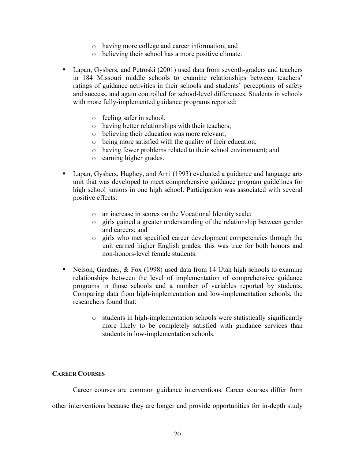- o having more college and career information; and
- o believing their school has a more positive climate.
- Lapan, Gysbers, and Petroski (2001) used data from seventh-graders and teachers in 184 Missouri middle schools to examine relationships between teachers' ratings of guidance activities in their schools and students' perceptions of safety and success, and again controlled for school-level differences. Students in schools with more fully-implemented guidance programs reported:
	- o feeling safer in school;
	- o having better relationships with their teachers;
	- o believing their education was more relevant;
	- o being more satisfied with the quality of their education;
	- o having fewer problems related to their school environment; and
	- o earning higher grades.
- Lapan, Gysbers, Hughey, and Arni (1993) evaluated a guidance and language arts unit that was developed to meet comprehensive guidance program guidelines for high school juniors in one high school. Participation was associated with several positive effects:
	- o an increase in scores on the Vocational Identity scale;
	- o girls gained a greater understanding of the relationship between gender and careers; and
	- o girls who met specified career development competencies through the unit earned higher English grades; this was true for both honors and non-honors-level female students.
- Nelson, Gardner,  $& Fox$  (1998) used data from 14 Utah high schools to examine relationships between the level of implementation of comprehensive guidance programs in those schools and a number of variables reported by students. Comparing data from high-implementation and low-implementation schools, the researchers found that:
	- o students in high-implementation schools were statistically significantly more likely to be completely satisfied with guidance services than students in low-implementation schools.

# **CAREER COURSES**

Career courses are common guidance interventions. Career courses differ from other interventions because they are longer and provide opportunities for in-depth study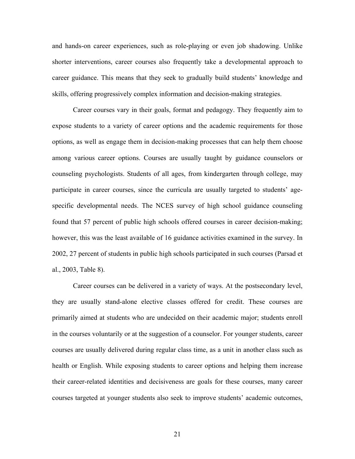and hands-on career experiences, such as role-playing or even job shadowing. Unlike shorter interventions, career courses also frequently take a developmental approach to career guidance. This means that they seek to gradually build students' knowledge and skills, offering progressively complex information and decision-making strategies.

Career courses vary in their goals, format and pedagogy. They frequently aim to expose students to a variety of career options and the academic requirements for those options, as well as engage them in decision-making processes that can help them choose among various career options. Courses are usually taught by guidance counselors or counseling psychologists. Students of all ages, from kindergarten through college, may participate in career courses, since the curricula are usually targeted to students' agespecific developmental needs. The NCES survey of high school guidance counseling found that 57 percent of public high schools offered courses in career decision-making; however, this was the least available of 16 guidance activities examined in the survey. In 2002, 27 percent of students in public high schools participated in such courses (Parsad et al., 2003, Table 8).

Career courses can be delivered in a variety of ways. At the postsecondary level, they are usually stand-alone elective classes offered for credit. These courses are primarily aimed at students who are undecided on their academic major; students enroll in the courses voluntarily or at the suggestion of a counselor. For younger students, career courses are usually delivered during regular class time, as a unit in another class such as health or English. While exposing students to career options and helping them increase their career-related identities and decisiveness are goals for these courses, many career courses targeted at younger students also seek to improve students' academic outcomes,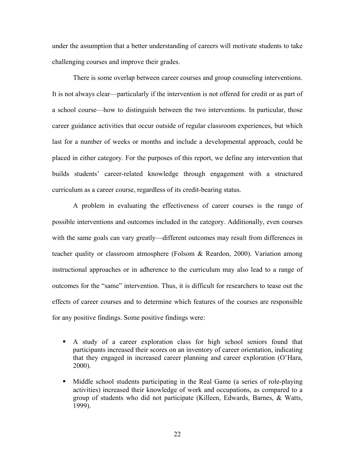under the assumption that a better understanding of careers will motivate students to take challenging courses and improve their grades.

There is some overlap between career courses and group counseling interventions. It is not always clear—particularly if the intervention is not offered for credit or as part of a school course—how to distinguish between the two interventions. In particular, those career guidance activities that occur outside of regular classroom experiences, but which last for a number of weeks or months and include a developmental approach, could be placed in either category. For the purposes of this report, we define any intervention that builds students' career-related knowledge through engagement with a structured curriculum as a career course, regardless of its credit-bearing status.

A problem in evaluating the effectiveness of career courses is the range of possible interventions and outcomes included in the category. Additionally, even courses with the same goals can vary greatly—different outcomes may result from differences in teacher quality or classroom atmosphere (Folsom & Reardon, 2000). Variation among instructional approaches or in adherence to the curriculum may also lead to a range of outcomes for the "same" intervention. Thus, it is difficult for researchers to tease out the effects of career courses and to determine which features of the courses are responsible for any positive findings. Some positive findings were:

- A study of a career exploration class for high school seniors found that participants increased their scores on an inventory of career orientation, indicating that they engaged in increased career planning and career exploration (O'Hara, 2000).
- Middle school students participating in the Real Game (a series of role-playing activities) increased their knowledge of work and occupations, as compared to a group of students who did not participate (Killeen, Edwards, Barnes, & Watts, 1999).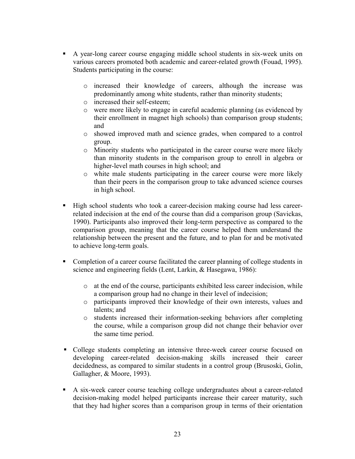- A year-long career course engaging middle school students in six-week units on various careers promoted both academic and career-related growth (Fouad, 1995). Students participating in the course:
	- o increased their knowledge of careers, although the increase was predominantly among white students, rather than minority students;
	- o increased their self-esteem;
	- o were more likely to engage in careful academic planning (as evidenced by their enrollment in magnet high schools) than comparison group students; and
	- o showed improved math and science grades, when compared to a control group.
	- o Minority students who participated in the career course were more likely than minority students in the comparison group to enroll in algebra or higher-level math courses in high school; and
	- o white male students participating in the career course were more likely than their peers in the comparison group to take advanced science courses in high school.
- High school students who took a career-decision making course had less careerrelated indecision at the end of the course than did a comparison group (Savickas, 1990). Participants also improved their long-term perspective as compared to the comparison group, meaning that the career course helped them understand the relationship between the present and the future, and to plan for and be motivated to achieve long-term goals.
- Completion of a career course facilitated the career planning of college students in science and engineering fields (Lent, Larkin, & Hasegawa, 1986):
	- o at the end of the course, participants exhibited less career indecision, while a comparison group had no change in their level of indecision;
	- o participants improved their knowledge of their own interests, values and talents; and
	- o students increased their information-seeking behaviors after completing the course, while a comparison group did not change their behavior over the same time period.
- College students completing an intensive three-week career course focused on developing career-related decision-making skills increased their career decidedness, as compared to similar students in a control group (Brusoski, Golin, Gallagher, & Moore, 1993).
- A six-week career course teaching college undergraduates about a career-related decision-making model helped participants increase their career maturity, such that they had higher scores than a comparison group in terms of their orientation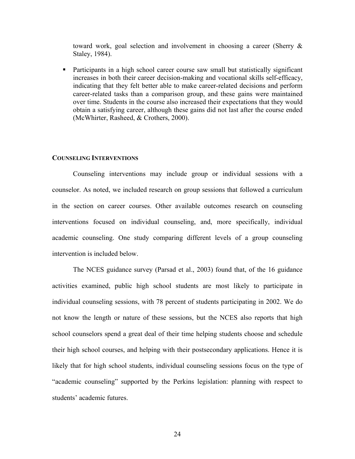toward work, goal selection and involvement in choosing a career (Sherry & Staley, 1984).

 Participants in a high school career course saw small but statistically significant increases in both their career decision-making and vocational skills self-efficacy, indicating that they felt better able to make career-related decisions and perform career-related tasks than a comparison group, and these gains were maintained over time. Students in the course also increased their expectations that they would obtain a satisfying career, although these gains did not last after the course ended (McWhirter, Rasheed, & Crothers, 2000).

#### **COUNSELING INTERVENTIONS**

Counseling interventions may include group or individual sessions with a counselor. As noted, we included research on group sessions that followed a curriculum in the section on career courses. Other available outcomes research on counseling interventions focused on individual counseling, and, more specifically, individual academic counseling. One study comparing different levels of a group counseling intervention is included below.

The NCES guidance survey (Parsad et al., 2003) found that, of the 16 guidance activities examined, public high school students are most likely to participate in individual counseling sessions, with 78 percent of students participating in 2002. We do not know the length or nature of these sessions, but the NCES also reports that high school counselors spend a great deal of their time helping students choose and schedule their high school courses, and helping with their postsecondary applications. Hence it is likely that for high school students, individual counseling sessions focus on the type of "academic counseling" supported by the Perkins legislation: planning with respect to students' academic futures.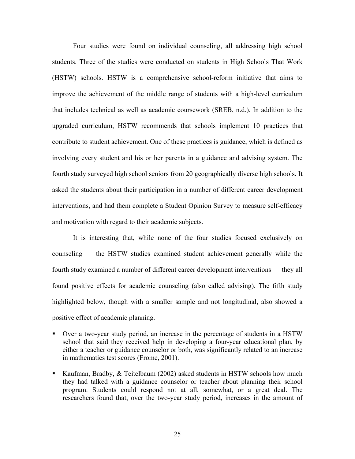Four studies were found on individual counseling, all addressing high school students. Three of the studies were conducted on students in High Schools That Work (HSTW) schools. HSTW is a comprehensive school-reform initiative that aims to improve the achievement of the middle range of students with a high-level curriculum that includes technical as well as academic coursework (SREB, n.d.). In addition to the upgraded curriculum, HSTW recommends that schools implement 10 practices that contribute to student achievement. One of these practices is guidance, which is defined as involving every student and his or her parents in a guidance and advising system. The fourth study surveyed high school seniors from 20 geographically diverse high schools. It asked the students about their participation in a number of different career development interventions, and had them complete a Student Opinion Survey to measure self-efficacy and motivation with regard to their academic subjects.

It is interesting that, while none of the four studies focused exclusively on counseling — the HSTW studies examined student achievement generally while the fourth study examined a number of different career development interventions — they all found positive effects for academic counseling (also called advising). The fifth study highlighted below, though with a smaller sample and not longitudinal, also showed a positive effect of academic planning.

- Over a two-year study period, an increase in the percentage of students in a HSTW school that said they received help in developing a four-year educational plan, by either a teacher or guidance counselor or both, was significantly related to an increase in mathematics test scores (Frome, 2001).
- Kaufman, Bradby, & Teitelbaum (2002) asked students in HSTW schools how much they had talked with a guidance counselor or teacher about planning their school program. Students could respond not at all, somewhat, or a great deal. The researchers found that, over the two-year study period, increases in the amount of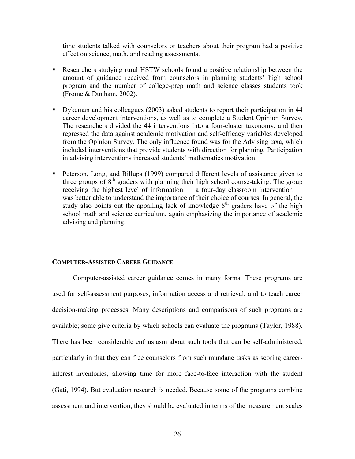time students talked with counselors or teachers about their program had a positive effect on science, math, and reading assessments.

- Researchers studying rural HSTW schools found a positive relationship between the amount of guidance received from counselors in planning students' high school program and the number of college-prep math and science classes students took (Frome & Dunham, 2002).
- Dykeman and his colleagues (2003) asked students to report their participation in 44 career development interventions, as well as to complete a Student Opinion Survey. The researchers divided the 44 interventions into a four-cluster taxonomy, and then regressed the data against academic motivation and self-efficacy variables developed from the Opinion Survey. The only influence found was for the Advising taxa, which included interventions that provide students with direction for planning. Participation in advising interventions increased students' mathematics motivation.
- **Peterson, Long, and Billups (1999) compared different levels of assistance given to** three groups of  $8<sup>th</sup>$  graders with planning their high school course-taking. The group receiving the highest level of information — a four-day classroom intervention was better able to understand the importance of their choice of courses. In general, the study also points out the appalling lack of knowledge  $8<sup>th</sup>$  graders have of the high school math and science curriculum, again emphasizing the importance of academic advising and planning.

#### **COMPUTER-ASSISTED CAREER GUIDANCE**

Computer-assisted career guidance comes in many forms. These programs are used for self-assessment purposes, information access and retrieval, and to teach career decision-making processes. Many descriptions and comparisons of such programs are available; some give criteria by which schools can evaluate the programs (Taylor, 1988). There has been considerable enthusiasm about such tools that can be self-administered, particularly in that they can free counselors from such mundane tasks as scoring careerinterest inventories, allowing time for more face-to-face interaction with the student (Gati, 1994). But evaluation research is needed. Because some of the programs combine assessment and intervention, they should be evaluated in terms of the measurement scales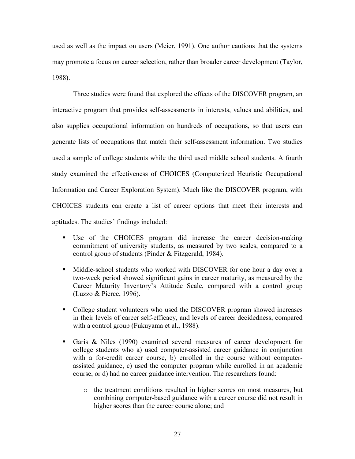used as well as the impact on users (Meier, 1991). One author cautions that the systems may promote a focus on career selection, rather than broader career development (Taylor, 1988).

Three studies were found that explored the effects of the DISCOVER program, an interactive program that provides self-assessments in interests, values and abilities, and also supplies occupational information on hundreds of occupations, so that users can generate lists of occupations that match their self-assessment information. Two studies used a sample of college students while the third used middle school students. A fourth study examined the effectiveness of CHOICES (Computerized Heuristic Occupational Information and Career Exploration System). Much like the DISCOVER program, with CHOICES students can create a list of career options that meet their interests and aptitudes. The studies' findings included:

- Use of the CHOICES program did increase the career decision-making commitment of university students, as measured by two scales, compared to a control group of students (Pinder & Fitzgerald, 1984).
- Middle-school students who worked with DISCOVER for one hour a day over a two-week period showed significant gains in career maturity, as measured by the Career Maturity Inventory's Attitude Scale, compared with a control group (Luzzo & Pierce, 1996).
- College student volunteers who used the DISCOVER program showed increases in their levels of career self-efficacy, and levels of career decidedness, compared with a control group (Fukuyama et al., 1988).
- Garis & Niles (1990) examined several measures of career development for college students who a) used computer-assisted career guidance in conjunction with a for-credit career course, b) enrolled in the course without computerassisted guidance, c) used the computer program while enrolled in an academic course, or d) had no career guidance intervention. The researchers found:
	- o the treatment conditions resulted in higher scores on most measures, but combining computer-based guidance with a career course did not result in higher scores than the career course alone; and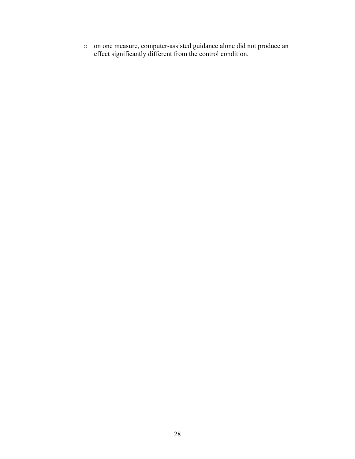o on one measure, computer-assisted guidance alone did not produce an effect significantly different from the control condition.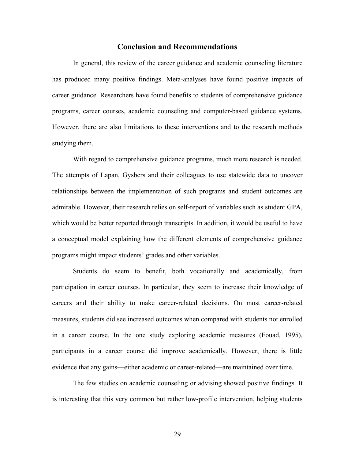## **Conclusion and Recommendations**

In general, this review of the career guidance and academic counseling literature has produced many positive findings. Meta-analyses have found positive impacts of career guidance. Researchers have found benefits to students of comprehensive guidance programs, career courses, academic counseling and computer-based guidance systems. However, there are also limitations to these interventions and to the research methods studying them.

With regard to comprehensive guidance programs, much more research is needed. The attempts of Lapan, Gysbers and their colleagues to use statewide data to uncover relationships between the implementation of such programs and student outcomes are admirable. However, their research relies on self-report of variables such as student GPA, which would be better reported through transcripts. In addition, it would be useful to have a conceptual model explaining how the different elements of comprehensive guidance programs might impact students' grades and other variables.

Students do seem to benefit, both vocationally and academically, from participation in career courses. In particular, they seem to increase their knowledge of careers and their ability to make career-related decisions. On most career-related measures, students did see increased outcomes when compared with students not enrolled in a career course. In the one study exploring academic measures (Fouad, 1995), participants in a career course did improve academically. However, there is little evidence that any gains—either academic or career-related—are maintained over time.

The few studies on academic counseling or advising showed positive findings. It is interesting that this very common but rather low-profile intervention, helping students

29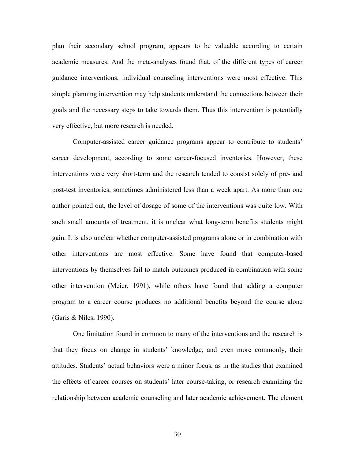plan their secondary school program, appears to be valuable according to certain academic measures. And the meta-analyses found that, of the different types of career guidance interventions, individual counseling interventions were most effective. This simple planning intervention may help students understand the connections between their goals and the necessary steps to take towards them. Thus this intervention is potentially very effective, but more research is needed.

Computer-assisted career guidance programs appear to contribute to students' career development, according to some career-focused inventories. However, these interventions were very short-term and the research tended to consist solely of pre- and post-test inventories, sometimes administered less than a week apart. As more than one author pointed out, the level of dosage of some of the interventions was quite low. With such small amounts of treatment, it is unclear what long-term benefits students might gain. It is also unclear whether computer-assisted programs alone or in combination with other interventions are most effective. Some have found that computer-based interventions by themselves fail to match outcomes produced in combination with some other intervention (Meier, 1991), while others have found that adding a computer program to a career course produces no additional benefits beyond the course alone (Garis & Niles, 1990).

One limitation found in common to many of the interventions and the research is that they focus on change in students' knowledge, and even more commonly, their attitudes. Students' actual behaviors were a minor focus, as in the studies that examined the effects of career courses on students' later course-taking, or research examining the relationship between academic counseling and later academic achievement. The element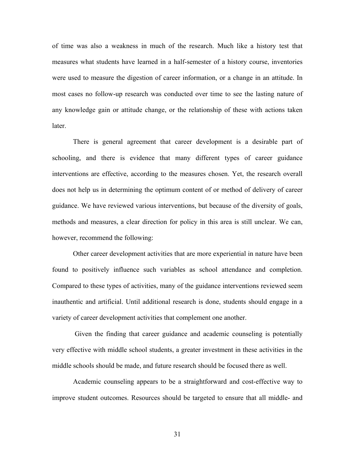of time was also a weakness in much of the research. Much like a history test that measures what students have learned in a half-semester of a history course, inventories were used to measure the digestion of career information, or a change in an attitude. In most cases no follow-up research was conducted over time to see the lasting nature of any knowledge gain or attitude change, or the relationship of these with actions taken later.

There is general agreement that career development is a desirable part of schooling, and there is evidence that many different types of career guidance interventions are effective, according to the measures chosen. Yet, the research overall does not help us in determining the optimum content of or method of delivery of career guidance. We have reviewed various interventions, but because of the diversity of goals, methods and measures, a clear direction for policy in this area is still unclear. We can, however, recommend the following:

Other career development activities that are more experiential in nature have been found to positively influence such variables as school attendance and completion. Compared to these types of activities, many of the guidance interventions reviewed seem inauthentic and artificial. Until additional research is done, students should engage in a variety of career development activities that complement one another.

 Given the finding that career guidance and academic counseling is potentially very effective with middle school students, a greater investment in these activities in the middle schools should be made, and future research should be focused there as well.

Academic counseling appears to be a straightforward and cost-effective way to improve student outcomes. Resources should be targeted to ensure that all middle- and

31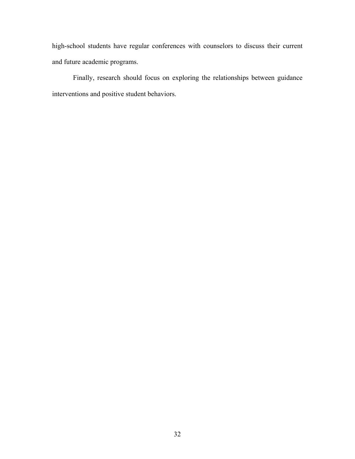high-school students have regular conferences with counselors to discuss their current and future academic programs.

Finally, research should focus on exploring the relationships between guidance interventions and positive student behaviors.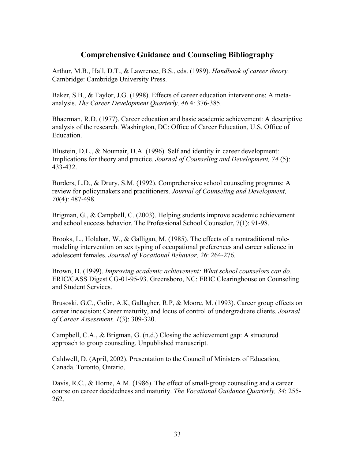# **Comprehensive Guidance and Counseling Bibliography**

Arthur, M.B., Hall, D.T., & Lawrence, B.S., eds. (1989). *Handbook of career theory.* Cambridge: Cambridge University Press.

Baker, S.B., & Taylor, J.G. (1998). Effects of career education interventions: A metaanalysis. *The Career Development Quarterly, 46* 4: 376-385.

Bhaerman, R.D. (1977). Career education and basic academic achievement: A descriptive analysis of the research. Washington, DC: Office of Career Education, U.S. Office of **Education** 

Blustein, D.L., & Noumair, D.A. (1996). Self and identity in career development: Implications for theory and practice. *Journal of Counseling and Development, 74* (5): 433-432.

Borders, L.D., & Drury, S.M. (1992). Comprehensive school counseling programs: A review for policymakers and practitioners. *Journal of Counseling and Development, 70*(4): 487-498.

Brigman, G., & Campbell, C. (2003). Helping students improve academic achievement and school success behavior. The Professional School Counselor, 7(1): 91-98.

Brooks, L., Holahan, W., & Galligan, M. (1985). The effects of a nontraditional rolemodeling intervention on sex typing of occupational preferences and career salience in adolescent females. *Journal of Vocational Behavior, 26*: 264-276.

Brown, D. (1999). *Improving academic achievement: What school counselors can do*. ERIC/CASS Digest CG-01-95-93. Greensboro, NC: ERIC Clearinghouse on Counseling and Student Services.

Brusoski, G.C., Golin, A.K, Gallagher, R.P, & Moore, M. (1993). Career group effects on career indecision: Career maturity, and locus of control of undergraduate clients. *Journal of Career Assessment, 1*(3): 309-320.

Campbell, C.A., & Brigman, G. (n.d.) Closing the achievement gap: A structured approach to group counseling. Unpublished manuscript.

Caldwell, D. (April, 2002). Presentation to the Council of Ministers of Education, Canada. Toronto, Ontario.

Davis, R.C., & Horne, A.M. (1986). The effect of small-group counseling and a career course on career decidedness and maturity. *The Vocational Guidance Quarterly, 34*: 255- 262.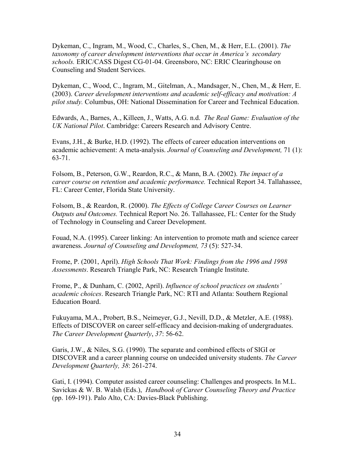Dykeman, C., Ingram, M., Wood, C., Charles, S., Chen, M., & Herr, E.L. (2001). *The taxonomy of career development interventions that occur in America's secondary schools.* ERIC/CASS Digest CG-01-04. Greensboro, NC: ERIC Clearinghouse on Counseling and Student Services.

Dykeman, C., Wood, C., Ingram, M., Gitelman, A., Mandsager, N., Chen, M., & Herr, E. (2003). *Career development interventions and academic self-efficacy and motivation: A pilot study.* Columbus, OH: National Dissemination for Career and Technical Education.

Edwards, A., Barnes, A., Killeen, J., Watts, A.G. n.d. *The Real Game: Evaluation of the UK National Pilot*. Cambridge: Careers Research and Advisory Centre.

Evans, J.H., & Burke, H.D. (1992). The effects of career education interventions on academic achievement: A meta-analysis. *Journal of Counseling and Development,* 71 (1): 63-71.

Folsom, B., Peterson, G.W., Reardon, R.C., & Mann, B.A. (2002). *The impact of a career course on retention and academic performance.* Technical Report 34. Tallahassee, FL: Career Center, Florida State University.

Folsom, B., & Reardon, R. (2000). *The Effects of College Career Courses on Learner Outputs and Outcomes.* Technical Report No. 26. Tallahassee, FL: Center for the Study of Technology in Counseling and Career Development.

Fouad, N.A. (1995). Career linking: An intervention to promote math and science career awareness. *Journal of Counseling and Development, 73* (5): 527-34.

Frome, P. (2001, April). *High Schools That Work: Findings from the 1996 and 1998 Assessments*. Research Triangle Park, NC: Research Triangle Institute.

Frome, P., & Dunham, C. (2002, April). *Influence of school practices on students' academic choices*. Research Triangle Park, NC: RTI and Atlanta: Southern Regional Education Board.

Fukuyama, M.A., Probert, B.S., Neimeyer, G.J., Nevill, D.D., & Metzler, A.E. (1988). Effects of DISCOVER on career self-efficacy and decision-making of undergraduates. *The Career Development Quarterly*, *37*: 56-62.

Garis, J.W., & Niles, S.G. (1990). The separate and combined effects of SIGI or DISCOVER and a career planning course on undecided university students. *The Career Development Quarterly, 38*: 261-274.

Gati, I. (1994). Computer assisted career counseling: Challenges and prospects. In M.L. Savickas & W. B. Walsh (Eds.), *Handbook of Career Counseling Theory and Practice* (pp. 169-191). Palo Alto, CA: Davies-Black Publishing.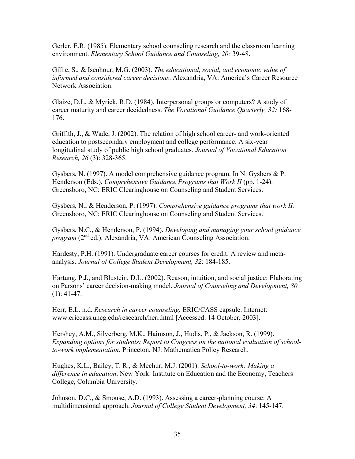Gerler, E.R. (1985). Elementary school counseling research and the classroom learning environment. *Elementary School Guidance and Counseling, 20:* 39-48.

Gillie, S., & Isenhour, M.G. (2003). *The educational, social, and economic value of informed and considered career decisions*. Alexandria, VA: America's Career Resource Network Association.

Glaize, D.L, & Myrick, R.D. (1984). Interpersonal groups or computers? A study of career maturity and career decidedness. *The Vocational Guidance Quarterly, 32:* 168- 176.

Griffith, J., & Wade, J. (2002). The relation of high school career- and work-oriented education to postsecondary employment and college performance: A six-year longitudinal study of public high school graduates. *Journal of Vocational Education Research, 26* (3): 328-365.

Gysbers, N. (1997). A model comprehensive guidance program. In N. Gysbers & P. Henderson (Eds.), *Comprehensive Guidance Programs that Work II* (pp. 1-24). Greensboro, NC: ERIC Clearinghouse on Counseling and Student Services.

Gysbers, N., & Henderson, P. (1997). *Comprehensive guidance programs that work II.* Greensboro, NC: ERIC Clearinghouse on Counseling and Student Services.

Gysbers, N.C., & Henderson, P. (1994). *Developing and managing your school guidance program* (2<sup>nd</sup> ed.). Alexandria, VA: American Counseling Association.

Hardesty, P.H. (1991). Undergraduate career courses for credit: A review and metaanalysis. *Journal of College Student Development, 32*: 184-185.

Hartung, P.J., and Blustein, D.L. (2002). Reason, intuition, and social justice: Elaborating on Parsons' career decision-making model. *Journal of Counseling and Development, 80*   $(1): 41-47.$ 

Herr, E.L. n.d. *Research in career counseling.* ERIC/CASS capsule. Internet: www.ericcass.uncg.edu/reseearch/herr.html [Accessed: 14 October, 2003].

Hershey, A.M., Silverberg, M.K., Haimson, J., Hudis, P., & Jackson, R. (1999). *Expanding options for students: Report to Congress on the national evaluation of schoolto-work implementation*. Princeton, NJ: Mathematica Policy Research.

Hughes, K.L., Bailey, T. R., & Mechur, M.J. (2001). *School-to-work: Making a difference in education*. New York: Institute on Education and the Economy, Teachers College, Columbia University.

Johnson, D.C., & Smouse, A.D. (1993). Assessing a career-planning course: A multidimensional approach. *Journal of College Student Development, 34*: 145-147.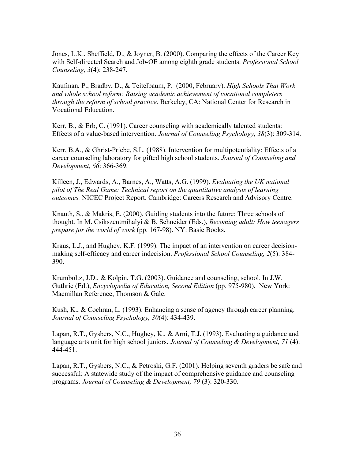Jones, L.K., Sheffield, D., & Joyner, B. (2000). Comparing the effects of the Career Key with Self-directed Search and Job-OE among eighth grade students. *Professional School Counseling, 3*(4): 238-247.

Kaufman, P., Bradby, D., & Teitelbaum, P. (2000, February). *High Schools That Work and whole school reform: Raising academic achievement of vocational completers through the reform of school practice*. Berkeley, CA: National Center for Research in Vocational Education.

Kerr, B.,  $\&$  Erb, C. (1991). Career counseling with academically talented students: Effects of a value-based intervention. *Journal of Counseling Psychology, 38*(3): 309-314.

Kerr, B.A., & Ghrist-Priebe, S.L. (1988). Intervention for multipotentiality: Effects of a career counseling laboratory for gifted high school students. *Journal of Counseling and Development, 66*: 366-369.

Killeen, J., Edwards, A., Barnes, A., Watts, A.G. (1999). *Evaluating the UK national pilot of The Real Game: Technical report on the quantitative analysis of learning outcomes.* NICEC Project Report. Cambridge: Careers Research and Advisory Centre.

Knauth, S., & Makris, E. (2000). Guiding students into the future: Three schools of thought. In M. Csikszentmihalyi & B. Schneider (Eds.), *Becoming adult: How teenagers prepare for the world of work* (pp. 167-98). NY: Basic Books.

Kraus, L.J., and Hughey, K.F. (1999). The impact of an intervention on career decisionmaking self-efficacy and career indecision. *Professional School Counseling, 2*(5): 384- 390.

Krumboltz, J.D., & Kolpin, T.G. (2003). Guidance and counseling, school. In J.W. Guthrie (Ed.), *Encyclopedia of Education, Second Edition* (pp. 975-980). New York: Macmillan Reference, Thomson & Gale.

Kush, K., & Cochran, L. (1993). Enhancing a sense of agency through career planning. *Journal of Counseling Psychology, 30*(4): 434-439.

Lapan, R.T., Gysbers, N.C., Hughey, K., & Arni, T.J. (1993). Evaluating a guidance and language arts unit for high school juniors. *Journal of Counseling & Development, 71* (4): 444-451.

Lapan, R.T., Gysbers, N.C., & Petroski, G.F. (2001). Helping seventh graders be safe and successful: A statewide study of the impact of comprehensive guidance and counseling programs. *Journal of Counseling & Development, 79* (3): 320-330.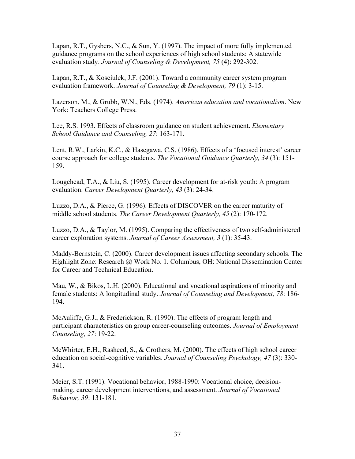Lapan, R.T., Gysbers, N.C., & Sun, Y. (1997). The impact of more fully implemented guidance programs on the school experiences of high school students: A statewide evaluation study. *Journal of Counseling & Development, 75* (4): 292-302.

Lapan, R.T., & Kosciulek, J.F. (2001). Toward a community career system program evaluation framework. *Journal of Counseling & Development, 79* (1): 3-15.

Lazerson, M., & Grubb, W.N., Eds. (1974). *American education and vocationalism*. New York: Teachers College Press.

Lee, R.S. 1993. Effects of classroom guidance on student achievement. *Elementary School Guidance and Counseling, 27*: 163-171.

Lent, R.W., Larkin, K.C., & Hasegawa, C.S. (1986). Effects of a 'focused interest' career course approach for college students. *The Vocational Guidance Quarterly, 34* (3): 151- 159.

Lougehead, T.A., & Liu, S. (1995). Career development for at-risk youth: A program evaluation. *Career Development Quarterly, 43* (3): 24-34.

Luzzo, D.A., & Pierce, G. (1996). Effects of DISCOVER on the career maturity of middle school students. *The Career Development Quarterly, 45* (2): 170-172.

Luzzo, D.A., & Taylor, M. (1995). Comparing the effectiveness of two self-administered career exploration systems. *Journal of Career Assessment, 3* (1): 35-43.

Maddy-Bernstein, C. (2000). Career development issues affecting secondary schools. The Highlight Zone: Research @ Work No. 1. Columbus, OH: National Dissemination Center for Career and Technical Education.

Mau, W., & Bikos, L.H. (2000). Educational and vocational aspirations of minority and female students: A longitudinal study. *Journal of Counseling and Development, 78*: 186- 194.

McAuliffe, G.J., & Frederickson, R. (1990). The effects of program length and participant characteristics on group career-counseling outcomes. *Journal of Employment Counseling, 27*: 19-22.

McWhirter, E.H., Rasheed, S., & Crothers, M. (2000). The effects of high school career education on social-cognitive variables. *Journal of Counseling Psychology, 47* (3): 330- 341.

Meier, S.T. (1991). Vocational behavior, 1988-1990: Vocational choice, decisionmaking, career development interventions, and assessment. *Journal of Vocational Behavior, 39*: 131-181.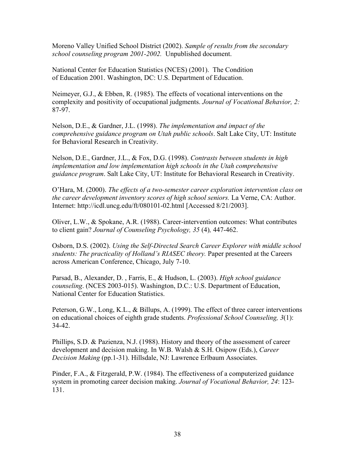Moreno Valley Unified School District (2002). *Sample of results from the secondary school counseling program 2001-2002.* Unpublished document.

National Center for Education Statistics (NCES) (2001). The Condition of Education 2001. Washington, DC: U.S. Department of Education.

Neimeyer, G.J., & Ebben, R. (1985). The effects of vocational interventions on the complexity and positivity of occupational judgments. *Journal of Vocational Behavior, 2:*  87-97.

Nelson, D.E., & Gardner, J.L. (1998). *The implementation and impact of the comprehensive guidance program on Utah public schools*. Salt Lake City, UT: Institute for Behavioral Research in Creativity.

Nelson, D.E., Gardner, J.L., & Fox, D.G. (1998). *Contrasts between students in high implementation and low implementation high schools in the Utah comprehensive guidance program*. Salt Lake City, UT: Institute for Behavioral Research in Creativity.

O'Hara, M. (2000). *The effects of a two-semester career exploration intervention class on the career development inventory scores of high school seniors.* La Verne, CA: Author. Internet: http://icdl.uncg.edu/ft/080101-02.html [Accessed 8/21/2003].

Oliver, L.W., & Spokane, A.R. (1988). Career-intervention outcomes: What contributes to client gain? *Journal of Counseling Psychology, 35* (4)*,* 447-462.

Osborn, D.S. (2002). *Using the Self-Directed Search Career Explorer with middle school students: The practicality of Holland's RIASEC theory.* Paper presented at the Careers across American Conference, Chicago, July 7-10.

Parsad, B., Alexander, D. , Farris, E., & Hudson, L. (2003). *High school guidance counseling*. (NCES 2003-015). Washington, D.C.: U.S. Department of Education, National Center for Education Statistics.

Peterson, G.W., Long, K.L., & Billups, A. (1999). The effect of three career interventions on educational choices of eighth grade students. *Professional School Counseling, 3*(1): 34-42.

Phillips, S.D. & Pazienza, N.J. (1988). History and theory of the assessment of career development and decision making. In W.B. Walsh & S.H. Osipow (Eds.), *Career Decision Making* (pp.1-31). Hillsdale, NJ: Lawrence Erlbaum Associates.

Pinder, F.A., & Fitzgerald, P.W. (1984). The effectiveness of a computerized guidance system in promoting career decision making. *Journal of Vocational Behavior, 24*: 123- 131.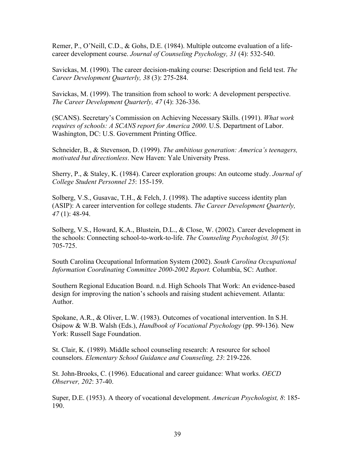Remer, P., O'Neill, C.D., & Gohs, D.E. (1984). Multiple outcome evaluation of a lifecareer development course. *Journal of Counseling Psychology, 31* (4): 532-540.

Savickas, M. (1990). The career decision-making course: Description and field test. *The Career Development Quarterly, 38* (3): 275-284.

Savickas, M. (1999). The transition from school to work: A development perspective. *The Career Development Quarterly, 47* (4): 326-336.

(SCANS). Secretary's Commission on Achieving Necessary Skills. (1991). *What work requires of schools: A SCANS report for America 2000*. U.S. Department of Labor. Washington, DC: U.S. Government Printing Office.

Schneider, B., & Stevenson, D. (1999). *The ambitious generation: America's teenagers, motivated but directionless*. New Haven: Yale University Press.

Sherry, P., & Staley, K. (1984). Career exploration groups: An outcome study. *Journal of College Student Personnel 25*: 155-159.

Solberg, V.S., Gusavac, T.H., & Felch, J. (1998). The adaptive success identity plan (ASIP): A career intervention for college students. *The Career Development Quarterly, 47* (1): 48-94.

Solberg, V.S., Howard, K.A., Blustein, D.L., & Close, W. (2002). Career development in the schools: Connecting school-to-work-to-life. *The Counseling Psychologist, 30* (5): 705-725.

South Carolina Occupational Information System (2002). *South Carolina Occupational Information Coordinating Committee 2000-2002 Report.* Columbia, SC: Author.

Southern Regional Education Board. n.d. High Schools That Work: An evidence-based design for improving the nation's schools and raising student achievement. Atlanta: Author.

Spokane, A.R., & Oliver, L.W. (1983). Outcomes of vocational intervention. In S.H. Osipow & W.B. Walsh (Eds.), *Handbook of Vocational Psychology* (pp. 99-136)*.* New York: Russell Sage Foundation.

St. Clair, K. (1989). Middle school counseling research: A resource for school counselors. *Elementary School Guidance and Counseling, 23*: 219-226.

St. John-Brooks, C. (1996). Educational and career guidance: What works. *OECD Observer, 202*: 37-40.

Super, D.E. (1953). A theory of vocational development. *American Psychologist, 8*: 185- 190.